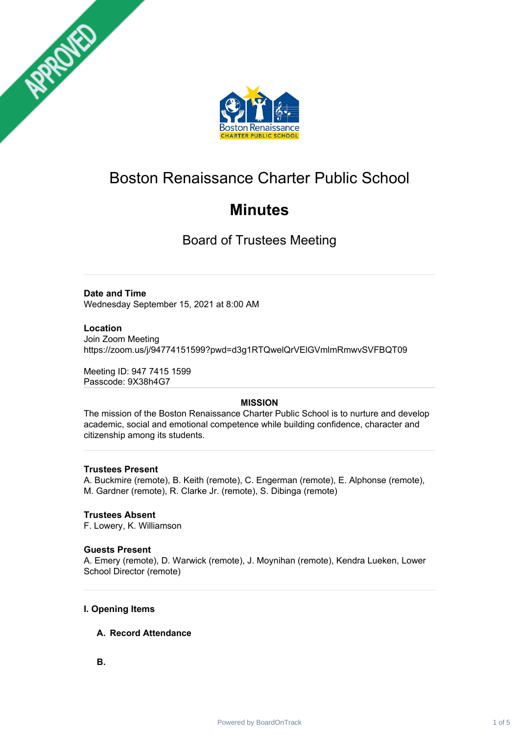



# Boston Renaissance Charter Public School

# **Minutes**

Board of Trustees Meeting

# **Date and Time**

Wednesday September 15, 2021 at 8:00 AM

# **Location**

Join Zoom Meeting https://zoom.us/j/94774151599?pwd=d3g1RTQwelQrVElGVmlmRmwvSVFBQT09

Meeting ID: 947 7415 1599 Passcode: 9X38h4G7

# **MISSION**

The mission of the Boston Renaissance Charter Public School is to nurture and develop academic, social and emotional competence while building confidence, character and citizenship among its students.

# **Trustees Present**

A. Buckmire (remote), B. Keith (remote), C. Engerman (remote), E. Alphonse (remote), M. Gardner (remote), R. Clarke Jr. (remote), S. Dibinga (remote)

# **Trustees Absent**

F. Lowery, K. Williamson

# **Guests Present**

A. Emery (remote), D. Warwick (remote), J. Moynihan (remote), Kendra Lueken, Lower School Director (remote)

# **I. Opening Items**

# **A. Record Attendance**

**B.**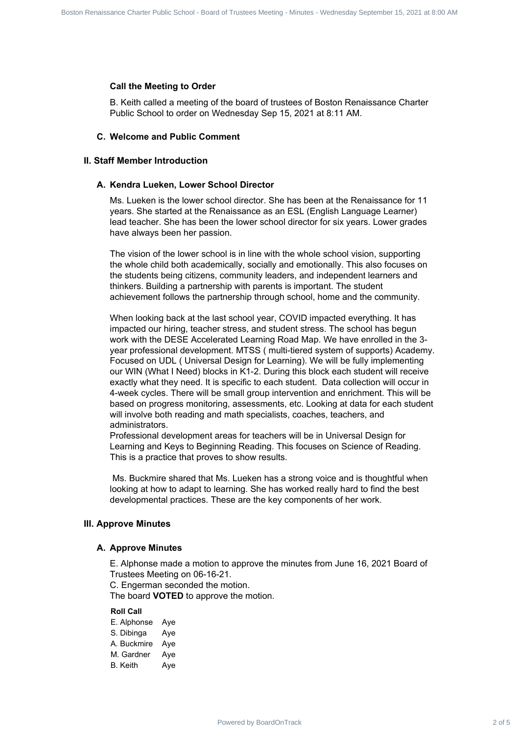#### **Call the Meeting to Order**

B. Keith called a meeting of the board of trustees of Boston Renaissance Charter Public School to order on Wednesday Sep 15, 2021 at 8:11 AM.

#### **C. Welcome and Public Comment**

## **II. Staff Member Introduction**

#### **A. Kendra Lueken, Lower School Director**

Ms. Lueken is the lower school director. She has been at the Renaissance for 11 years. She started at the Renaissance as an ESL (English Language Learner) lead teacher. She has been the lower school director for six years. Lower grades have always been her passion.

The vision of the lower school is in line with the whole school vision, supporting the whole child both academically, socially and emotionally. This also focuses on the students being citizens, community leaders, and independent learners and thinkers. Building a partnership with parents is important. The student achievement follows the partnership through school, home and the community.

When looking back at the last school year, COVID impacted everything. It has impacted our hiring, teacher stress, and student stress. The school has begun work with the DESE Accelerated Learning Road Map. We have enrolled in the 3 year professional development. MTSS ( multi-tiered system of supports) Academy. Focused on UDL ( Universal Design for Learning). We will be fully implementing our WIN (What I Need) blocks in K1-2. During this block each student will receive exactly what they need. It is specific to each student. Data collection will occur in 4-week cycles. There will be small group intervention and enrichment. This will be based on progress monitoring, assessments, etc. Looking at data for each student will involve both reading and math specialists, coaches, teachers, and administrators. Power of the state filler of 5 Board Charter Public School - Board Charter Charter Charter Public School - Board OnTrack 2 of 5 Carter Public School - Board Charter Public School - Board - Minutes - Wednesday September 15,

Professional development areas for teachers will be in Universal Design for Learning and Keys to Beginning Reading. This focuses on Science of Reading. This is a practice that proves to show results.

Ms. Buckmire shared that Ms. Lueken has a strong voice and is thoughtful when looking at how to adapt to learning. She has worked really hard to find the best developmental practices. These are the key components of her work.

## **III. Approve Minutes**

#### **A. Approve Minutes**

E. Alphonse made a motion to approve the minutes from June 16, 2021 Board of Trustees Meeting on 06-16-21.

C. Engerman seconded the motion.

The board **VOTED** to approve the motion.

#### **Roll Call**

E. Alphonse Aye S. Dibinga Aye A. Buckmire Aye M. Gardner Aye B. Keith Aye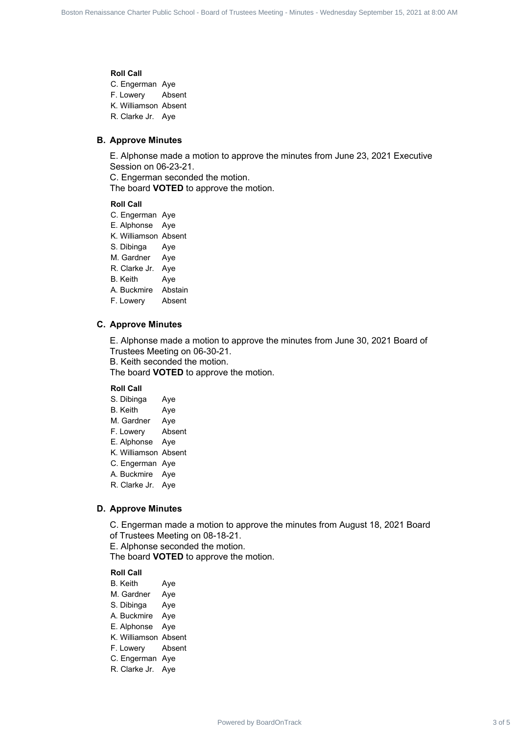### **Roll Call**

C. Engerman Aye F. Lowery Absent K. Williamson Absent R. Clarke Jr. Aye

#### **B. Approve Minutes**

E. Alphonse made a motion to approve the minutes from June 23, 2021 Executive Session on 06-23-21.

C. Engerman seconded the motion.

The board **VOTED** to approve the motion.

#### **Roll Call**

- C. Engerman Aye
- E. Alphonse Aye
- K. Williamson Absent
- S. Dibinga Aye
- M. Gardner Aye
- R. Clarke Jr. Aye
- B. Keith Aye
- A. Buckmire Abstain
- F. Lowery Absent

#### **C. Approve Minutes**

E. Alphonse made a motion to approve the minutes from June 30, 2021 Board of Trustees Meeting on 06-30-21. Board Communication Renaissance Charter 3 of 5 Board 2 of 5 Board 2 of 5 Board 2 of 5 Board 2 of 5 Board 2 of 5 Board 2 of 5 Board 2 of 5 Board 2 of 5 Board 2 of the Charter Public School - Board 2 of School Meeting - Min

B. Keith seconded the motion.

The board **VOTED** to approve the motion.

#### **Roll Call**

- S. Dibinga Aye
- B. Keith Aye
- M. Gardner Aye
- F. Lowery Absent
- E. Alphonse Aye
- K. Williamson Absent
- C. Engerman Aye
- A. Buckmire Aye
- R. Clarke Jr. Aye

# **D. Approve Minutes**

C. Engerman made a motion to approve the minutes from August 18, 2021 Board

- of Trustees Meeting on 08-18-21.
- E. Alphonse seconded the motion.

The board **VOTED** to approve the motion.

## **Roll Call**

- B. Keith Aye
- M. Gardner Aye
- S. Dibinga Aye
- A. Buckmire Aye
- E. Alphonse Aye
- K. Williamson Absent
- F. Lowery Absent
- C. Engerman Aye
- R. Clarke Jr. Aye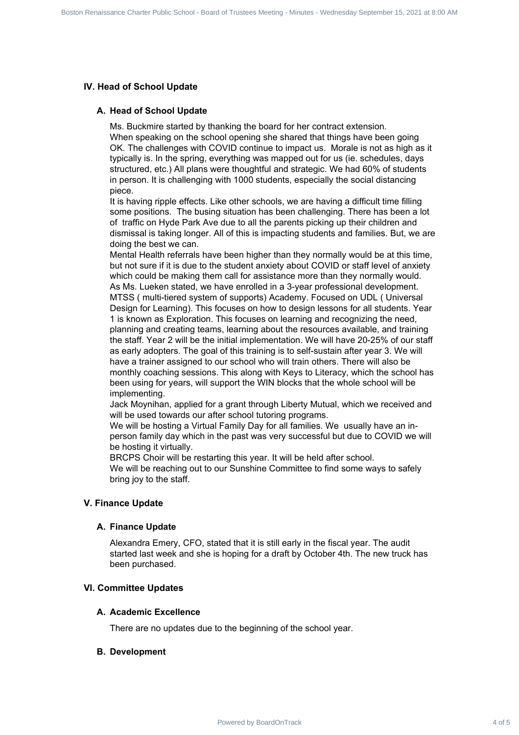# **IV. Head of School Update**

## **A. Head of School Update**

Ms. Buckmire started by thanking the board for her contract extension. When speaking on the school opening she shared that things have been going OK. The challenges with COVID continue to impact us. Morale is not as high as it typically is. In the spring, everything was mapped out for us (ie. schedules, days structured, etc.) All plans were thoughtful and strategic. We had 60% of students in person. It is challenging with 1000 students, especially the social distancing piece.

It is having ripple effects. Like other schools, we are having a difficult time filling some positions. The busing situation has been challenging. There has been a lot of traffic on Hyde Park Ave due to all the parents picking up their children and dismissal is taking longer. All of this is impacting students and families. But, we are doing the best we can.

Mental Health referrals have been higher than they normally would be at this time, but not sure if it is due to the student anxiety about COVID or staff level of anxiety which could be making them call for assistance more than they normally would. As Ms. Lueken stated, we have enrolled in a 3-year professional development. MTSS ( multi-tiered system of supports) Academy. Focused on UDL ( Universal Design for Learning). This focuses on how to design lessons for all students. Year 1 is known as Exploration. This focuses on learning and recognizing the need, planning and creating teams, learning about the resources available, and training the staff. Year 2 will be the initial implementation. We will have 20-25% of our staff as early adopters. The goal of this training is to self-sustain after year 3. We will have a trainer assigned to our school who will train others. There will also be monthly coaching sessions. This along with Keys to Literacy, which the school has been using for years, will support the WIN blocks that the whole school will be implementing. Power Computer Charter School Charter School Charter Renaissance Charter Charter Charter Charter Charter Charter Charter Charter Charter Charter Charter Charter Charter Charter Charter Charter Charter Charter Charter Chart

Jack Moynihan, applied for a grant through Liberty Mutual, which we received and will be used towards our after school tutoring programs.

We will be hosting a Virtual Family Day for all families. We usually have an inperson family day which in the past was very successful but due to COVID we will be hosting it virtually.

BRCPS Choir will be restarting this year. It will be held after school. We will be reaching out to our Sunshine Committee to find some ways to safely bring joy to the staff.

# **V. Finance Update**

# **A. Finance Update**

Alexandra Emery, CFO, stated that it is still early in the fiscal year. The audit started last week and she is hoping for a draft by October 4th. The new truck has been purchased.

# **VI. Committee Updates**

# **A. Academic Excellence**

There are no updates due to the beginning of the school year.

# **B. Development**